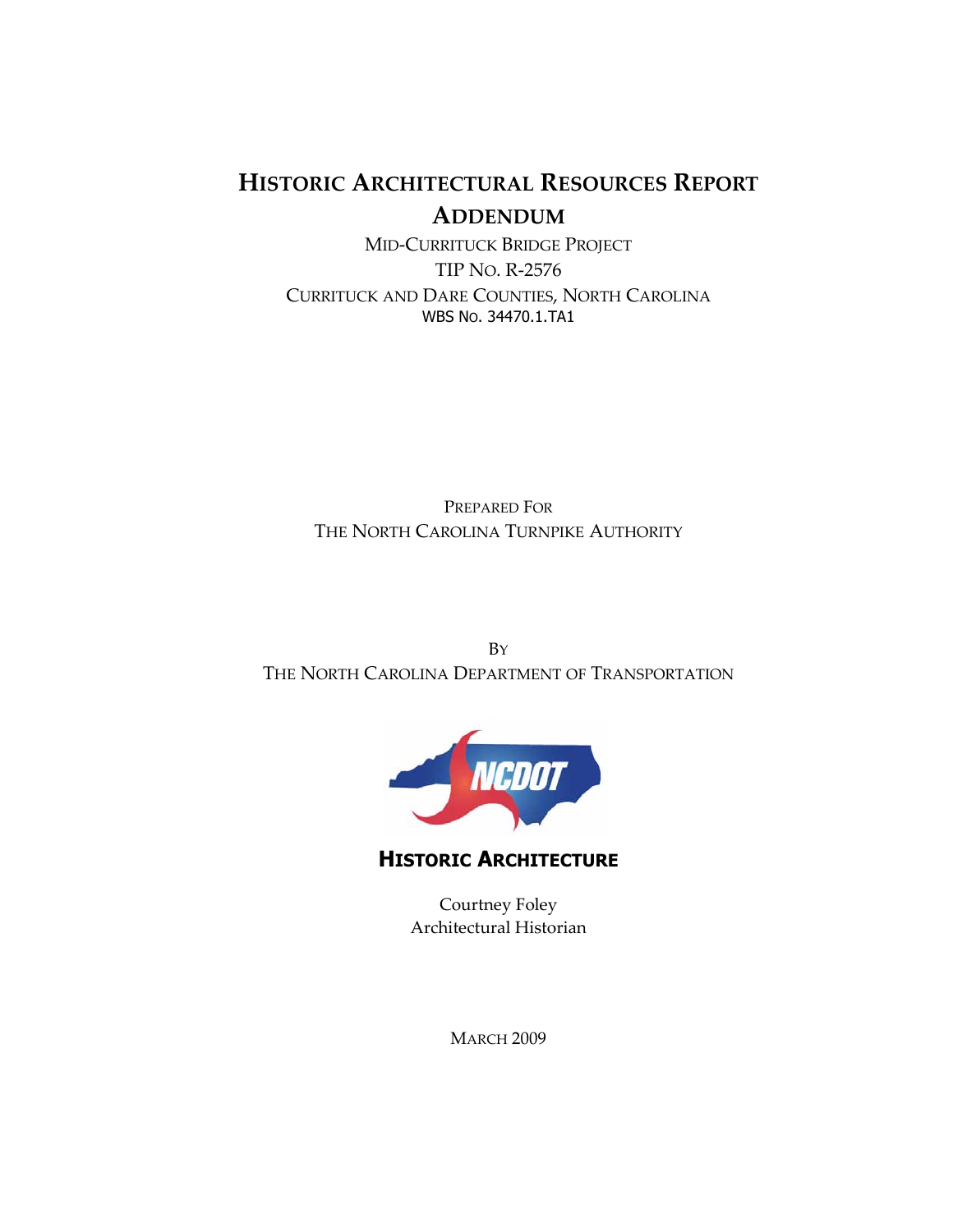# HISTORIC ARCHITECTURAL RESOURCES REPORT ADDENDUM

MID-CURRITUCK BRIDGE PROJECT TIP NO. R-2576 CURRITUCK AND DARE COUNTIES, NORTH CAROLINA WBS NO. 34470.1.TA1

PREPARED FOR THE NORTH CAROLINA TURNPIKE AUTHORITY

BY THE NORTH CAROLINA DEPARTMENT OF TRANSPORTATION



HISTORIC ARCHITECTURE

Courtney Foley Architectural Historian

**MARCH 2009**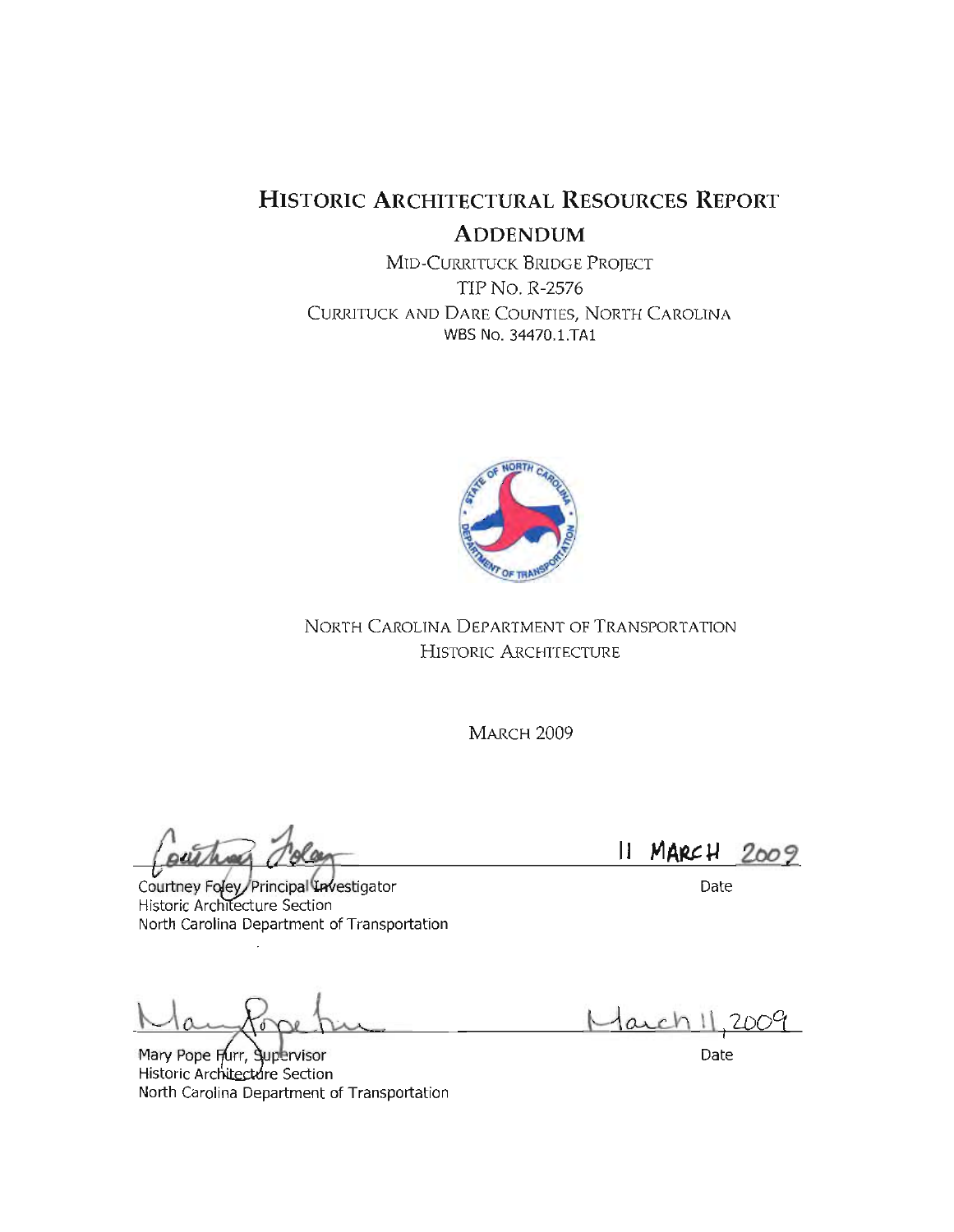# **HISTORIC ARCHITECTURAL RESOURCES REPORT ADDENDUM**

MID-CURRITUCK BRIDGE PROJECT **TIP No. R-2576** CURRITUCK AND DARE COUNTIES, NORTH CAROLINA WBS No. 34470.1.TA1



NORTH CAROLINA DEPARTMENT OF TRANSPORTATION HISTORIC ARCHITECTURE

**MARCH 2009** 

Courtney Foley Principal Investigator **Historic Architecture Section** North Carolina Department of Transportation

Mary Pope Furr, Supervisor Historic Architecture Section North Carolina Department of Transportation

 $II$  MARCH  $2009$ 

Date

Marchi

Date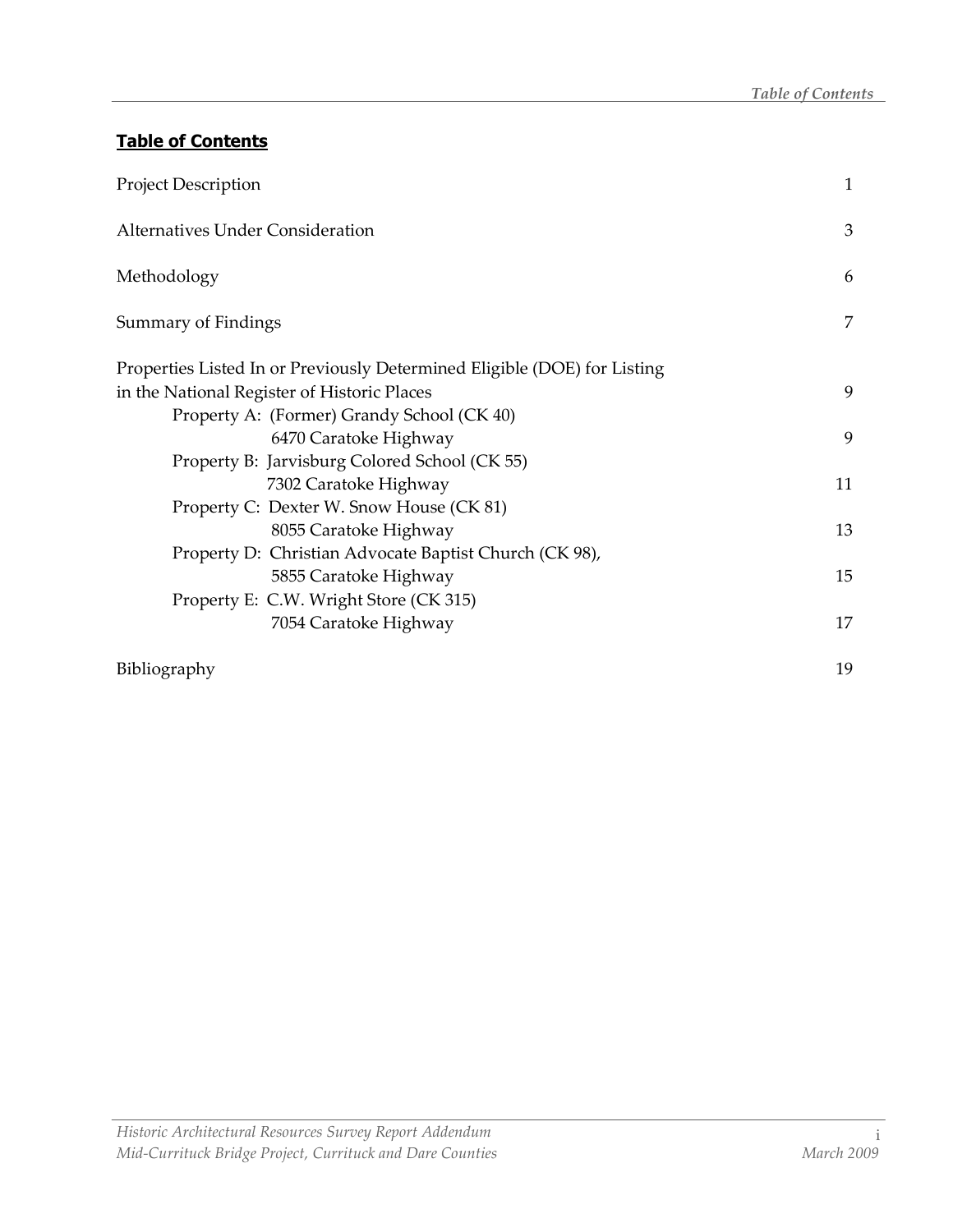## Table of Contents

| <b>Project Description</b>                                               | $\mathbf{1}$ |
|--------------------------------------------------------------------------|--------------|
| Alternatives Under Consideration                                         | 3            |
| Methodology                                                              | 6            |
| Summary of Findings                                                      | 7            |
| Properties Listed In or Previously Determined Eligible (DOE) for Listing |              |
| in the National Register of Historic Places                              | 9            |
| Property A: (Former) Grandy School (CK 40)                               |              |
| 6470 Caratoke Highway                                                    | 9            |
| Property B: Jarvisburg Colored School (CK 55)                            |              |
| 7302 Caratoke Highway                                                    | 11           |
| Property C: Dexter W. Snow House (CK 81)                                 |              |
| 8055 Caratoke Highway                                                    | 13           |
| Property D: Christian Advocate Baptist Church (CK 98),                   |              |
| 5855 Caratoke Highway                                                    | 15           |
| Property E: C.W. Wright Store (CK 315)                                   |              |
| 7054 Caratoke Highway                                                    | 17           |
| Bibliography                                                             | 19           |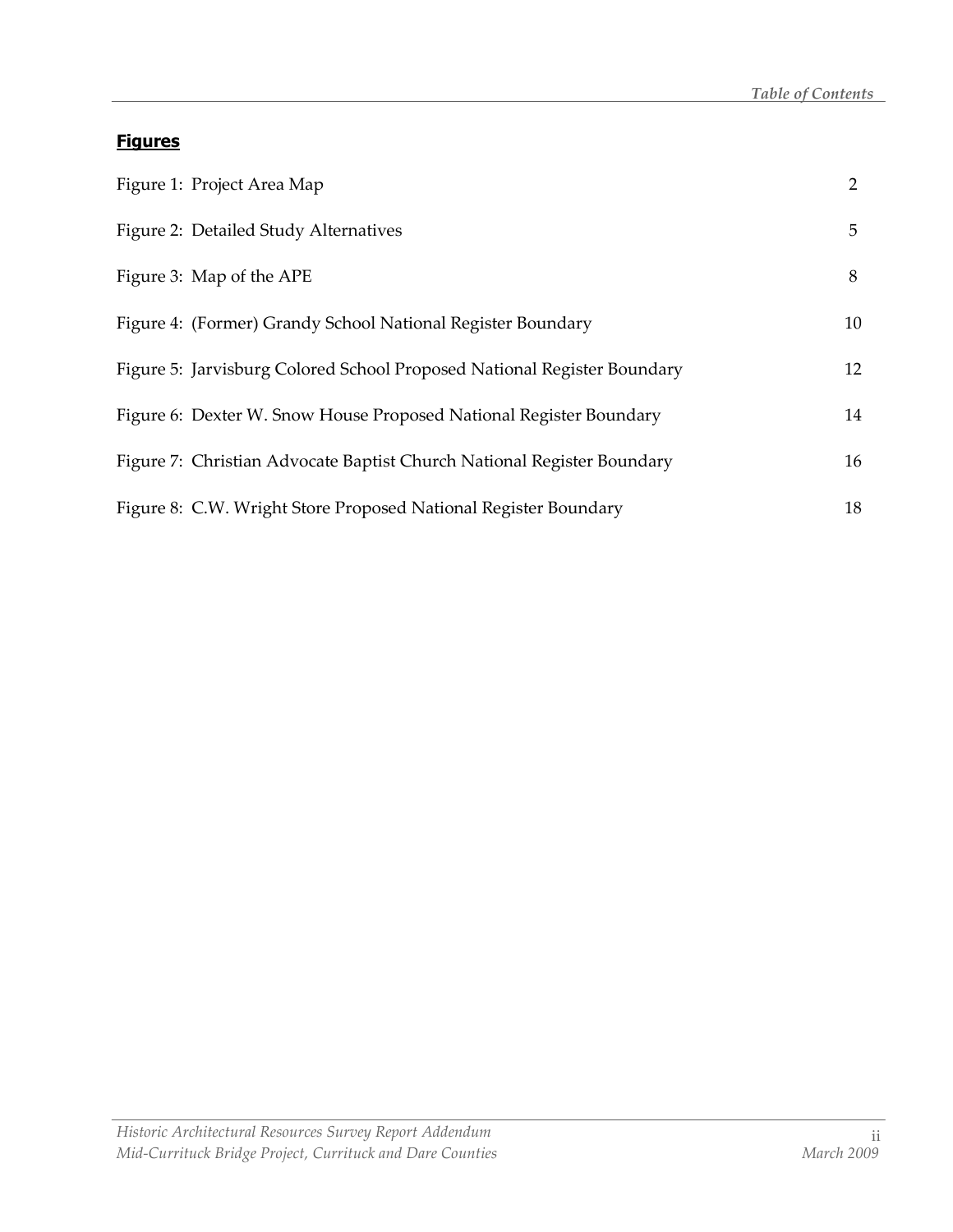#### **Figures**

| Figure 1: Project Area Map                                              | 2  |
|-------------------------------------------------------------------------|----|
| Figure 2: Detailed Study Alternatives                                   | 5  |
| Figure 3: Map of the APE                                                | 8  |
| Figure 4: (Former) Grandy School National Register Boundary             | 10 |
| Figure 5: Jarvisburg Colored School Proposed National Register Boundary | 12 |
| Figure 6: Dexter W. Snow House Proposed National Register Boundary      | 14 |
| Figure 7: Christian Advocate Baptist Church National Register Boundary  | 16 |
| Figure 8: C.W. Wright Store Proposed National Register Boundary         | 18 |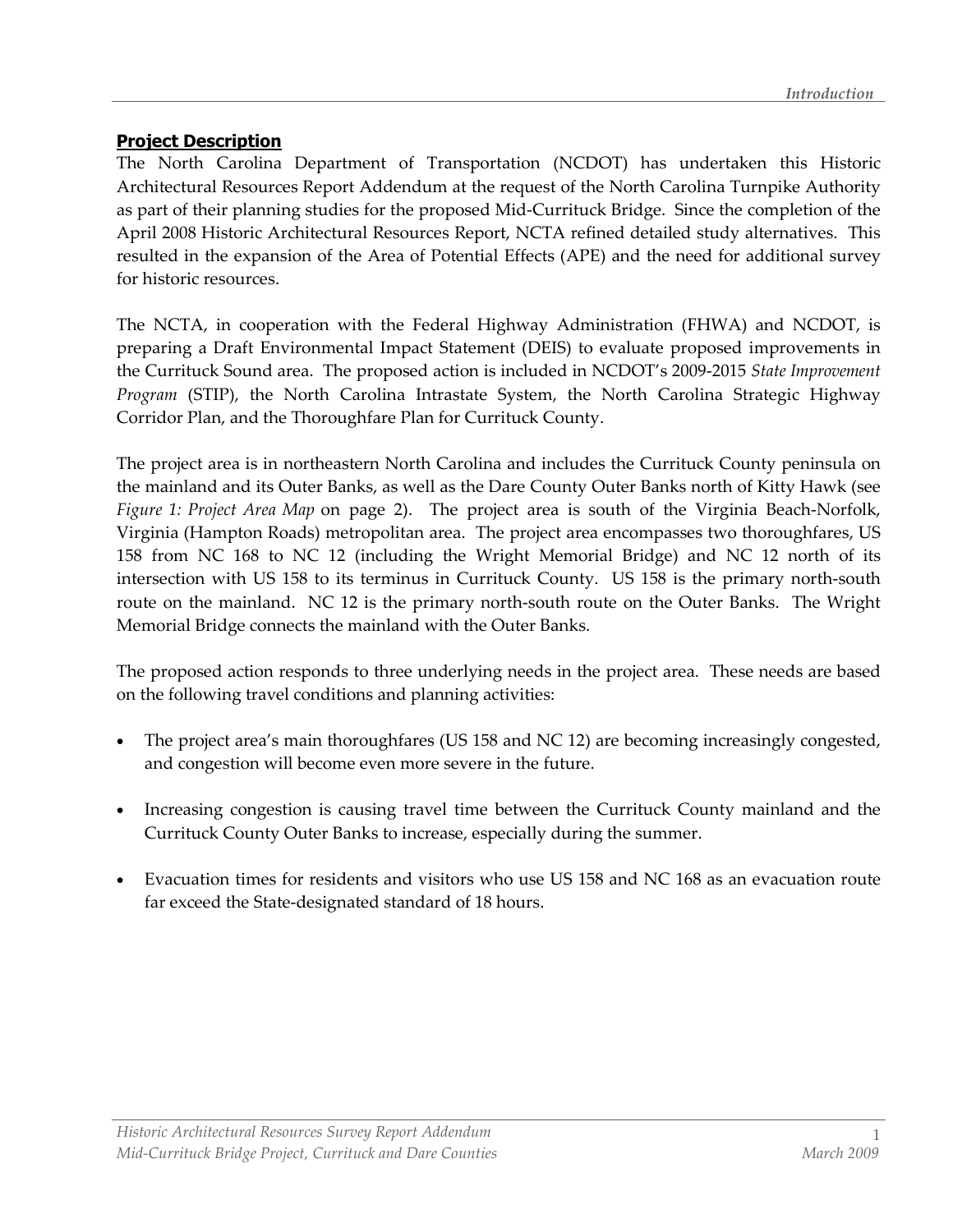#### Project Description

The North Carolina Department of Transportation (NCDOT) has undertaken this Historic Architectural Resources Report Addendum at the request of the North Carolina Turnpike Authority as part of their planning studies for the proposed Mid-Currituck Bridge. Since the completion of the April 2008 Historic Architectural Resources Report, NCTA refined detailed study alternatives. This resulted in the expansion of the Area of Potential Effects (APE) and the need for additional survey for historic resources.

The NCTA, in cooperation with the Federal Highway Administration (FHWA) and NCDOT, is preparing a Draft Environmental Impact Statement (DEIS) to evaluate proposed improvements in the Currituck Sound area. The proposed action is included in NCDOT's 2009-2015 State Improvement Program (STIP), the North Carolina Intrastate System, the North Carolina Strategic Highway Corridor Plan, and the Thoroughfare Plan for Currituck County.

The project area is in northeastern North Carolina and includes the Currituck County peninsula on the mainland and its Outer Banks, as well as the Dare County Outer Banks north of Kitty Hawk (see Figure 1: Project Area Map on page 2). The project area is south of the Virginia Beach-Norfolk, Virginia (Hampton Roads) metropolitan area. The project area encompasses two thoroughfares, US 158 from NC 168 to NC 12 (including the Wright Memorial Bridge) and NC 12 north of its intersection with US 158 to its terminus in Currituck County. US 158 is the primary north-south route on the mainland. NC 12 is the primary north-south route on the Outer Banks. The Wright Memorial Bridge connects the mainland with the Outer Banks.

The proposed action responds to three underlying needs in the project area. These needs are based on the following travel conditions and planning activities:

- The project area's main thoroughfares (US 158 and NC 12) are becoming increasingly congested, and congestion will become even more severe in the future.
- Increasing congestion is causing travel time between the Currituck County mainland and the Currituck County Outer Banks to increase, especially during the summer.
- Evacuation times for residents and visitors who use US 158 and NC 168 as an evacuation route far exceed the State-designated standard of 18 hours.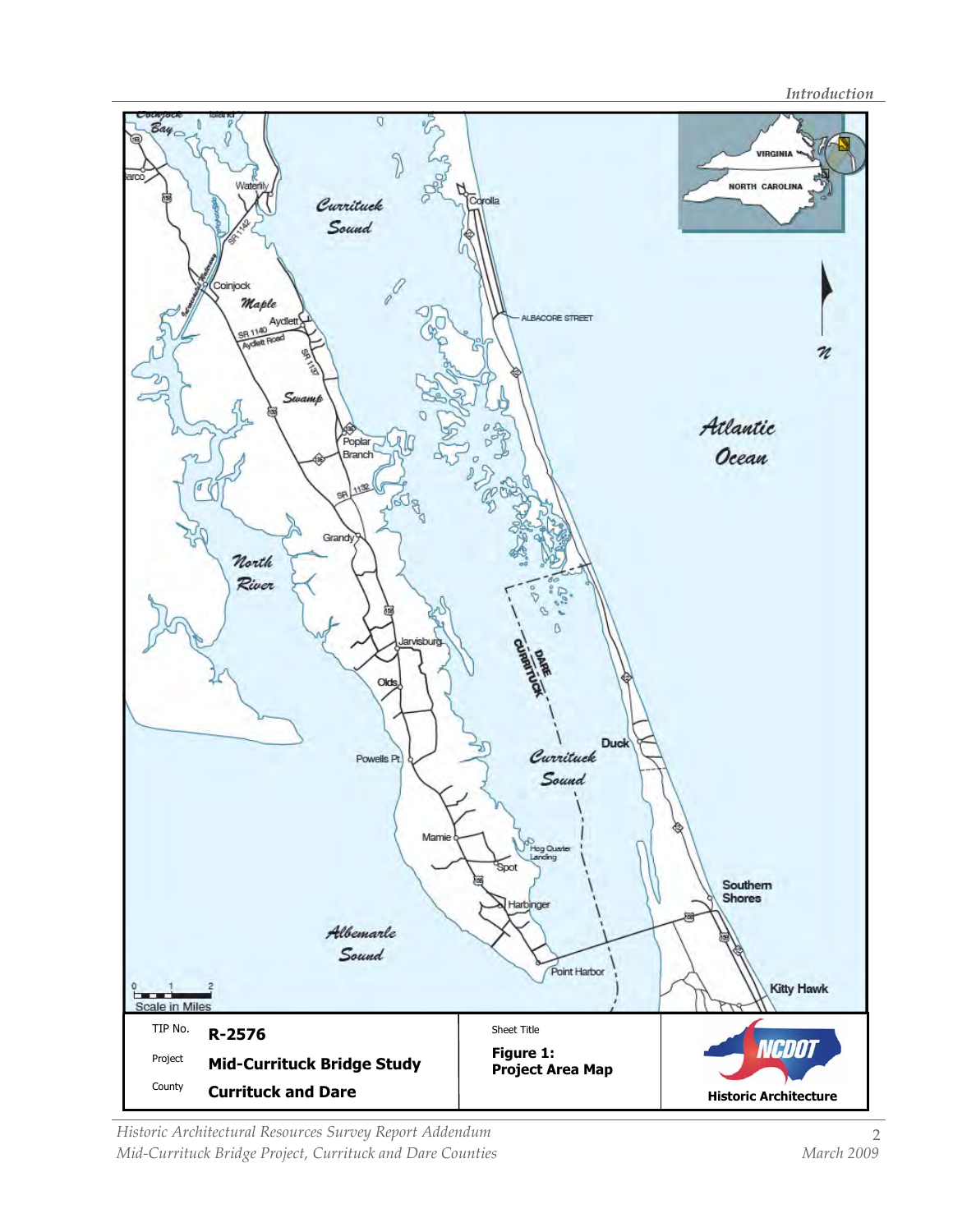**Introduction** 



Historic Architectural Resources Survey Report Addendum Mid-Currituck Bridge Project, Currituck and Dare Counties and March 2009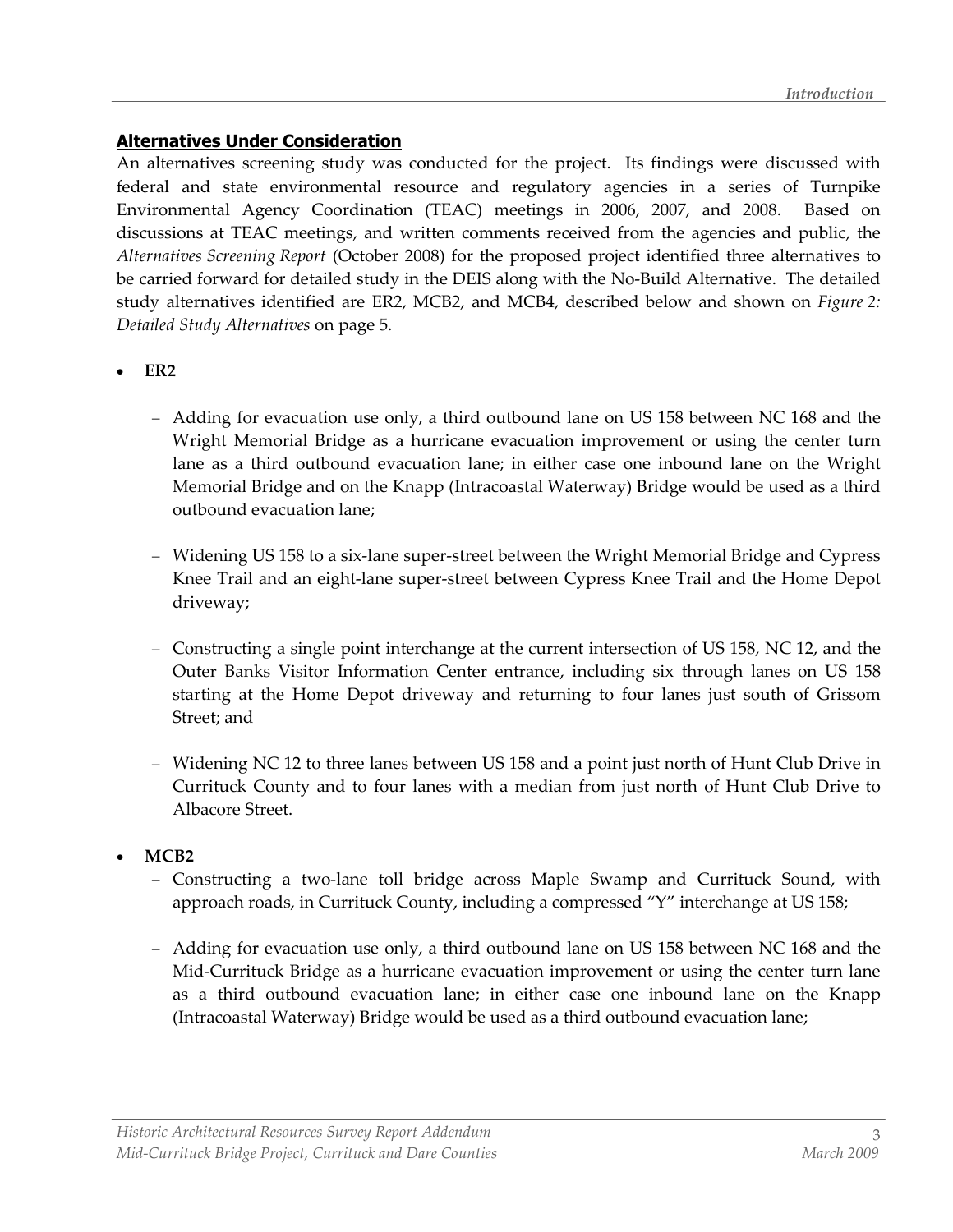#### Alternatives Under Consideration

An alternatives screening study was conducted for the project. Its findings were discussed with federal and state environmental resource and regulatory agencies in a series of Turnpike Environmental Agency Coordination (TEAC) meetings in 2006, 2007, and 2008. Based on discussions at TEAC meetings, and written comments received from the agencies and public, the Alternatives Screening Report (October 2008) for the proposed project identified three alternatives to be carried forward for detailed study in the DEIS along with the No-Build Alternative. The detailed study alternatives identified are ER2, MCB2, and MCB4, described below and shown on Figure 2: Detailed Study Alternatives on page 5.

- $\bullet$  ER2
	- − Adding for evacuation use only, a third outbound lane on US 158 between NC 168 and the Wright Memorial Bridge as a hurricane evacuation improvement or using the center turn lane as a third outbound evacuation lane; in either case one inbound lane on the Wright Memorial Bridge and on the Knapp (Intracoastal Waterway) Bridge would be used as a third outbound evacuation lane;
	- − Widening US 158 to a six-lane super-street between the Wright Memorial Bridge and Cypress Knee Trail and an eight-lane super-street between Cypress Knee Trail and the Home Depot driveway;
	- − Constructing a single point interchange at the current intersection of US 158, NC 12, and the Outer Banks Visitor Information Center entrance, including six through lanes on US 158 starting at the Home Depot driveway and returning to four lanes just south of Grissom Street; and
	- − Widening NC 12 to three lanes between US 158 and a point just north of Hunt Club Drive in Currituck County and to four lanes with a median from just north of Hunt Club Drive to Albacore Street.
- MCB2
	- − Constructing a two-lane toll bridge across Maple Swamp and Currituck Sound, with approach roads, in Currituck County, including a compressed "Y" interchange at US 158;
	- − Adding for evacuation use only, a third outbound lane on US 158 between NC 168 and the Mid-Currituck Bridge as a hurricane evacuation improvement or using the center turn lane as a third outbound evacuation lane; in either case one inbound lane on the Knapp (Intracoastal Waterway) Bridge would be used as a third outbound evacuation lane;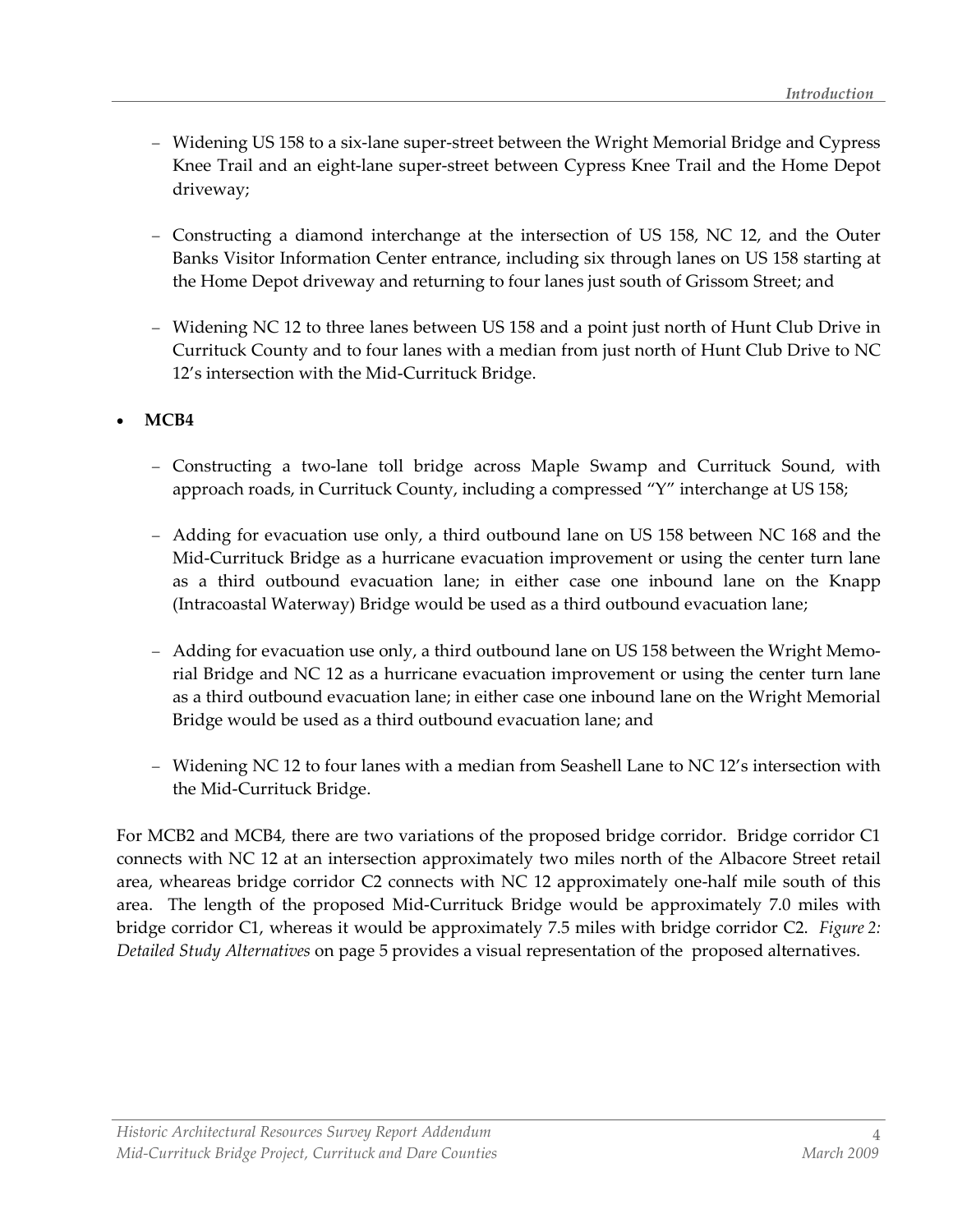- − Widening US 158 to a six-lane super-street between the Wright Memorial Bridge and Cypress Knee Trail and an eight-lane super-street between Cypress Knee Trail and the Home Depot driveway;
- − Constructing a diamond interchange at the intersection of US 158, NC 12, and the Outer Banks Visitor Information Center entrance, including six through lanes on US 158 starting at the Home Depot driveway and returning to four lanes just south of Grissom Street; and
- − Widening NC 12 to three lanes between US 158 and a point just north of Hunt Club Drive in Currituck County and to four lanes with a median from just north of Hunt Club Drive to NC 12's intersection with the Mid-Currituck Bridge.

### • MCB4

- − Constructing a two-lane toll bridge across Maple Swamp and Currituck Sound, with approach roads, in Currituck County, including a compressed "Y" interchange at US 158;
- − Adding for evacuation use only, a third outbound lane on US 158 between NC 168 and the Mid-Currituck Bridge as a hurricane evacuation improvement or using the center turn lane as a third outbound evacuation lane; in either case one inbound lane on the Knapp (Intracoastal Waterway) Bridge would be used as a third outbound evacuation lane;
- − Adding for evacuation use only, a third outbound lane on US 158 between the Wright Memorial Bridge and NC 12 as a hurricane evacuation improvement or using the center turn lane as a third outbound evacuation lane; in either case one inbound lane on the Wright Memorial Bridge would be used as a third outbound evacuation lane; and
- − Widening NC 12 to four lanes with a median from Seashell Lane to NC 12's intersection with the Mid-Currituck Bridge.

For MCB2 and MCB4, there are two variations of the proposed bridge corridor. Bridge corridor C1 connects with NC 12 at an intersection approximately two miles north of the Albacore Street retail area, wheareas bridge corridor C2 connects with NC 12 approximately one-half mile south of this area. The length of the proposed Mid-Currituck Bridge would be approximately 7.0 miles with bridge corridor C1, whereas it would be approximately 7.5 miles with bridge corridor C2. Figure 2: Detailed Study Alternatives on page 5 provides a visual representation of the proposed alternatives.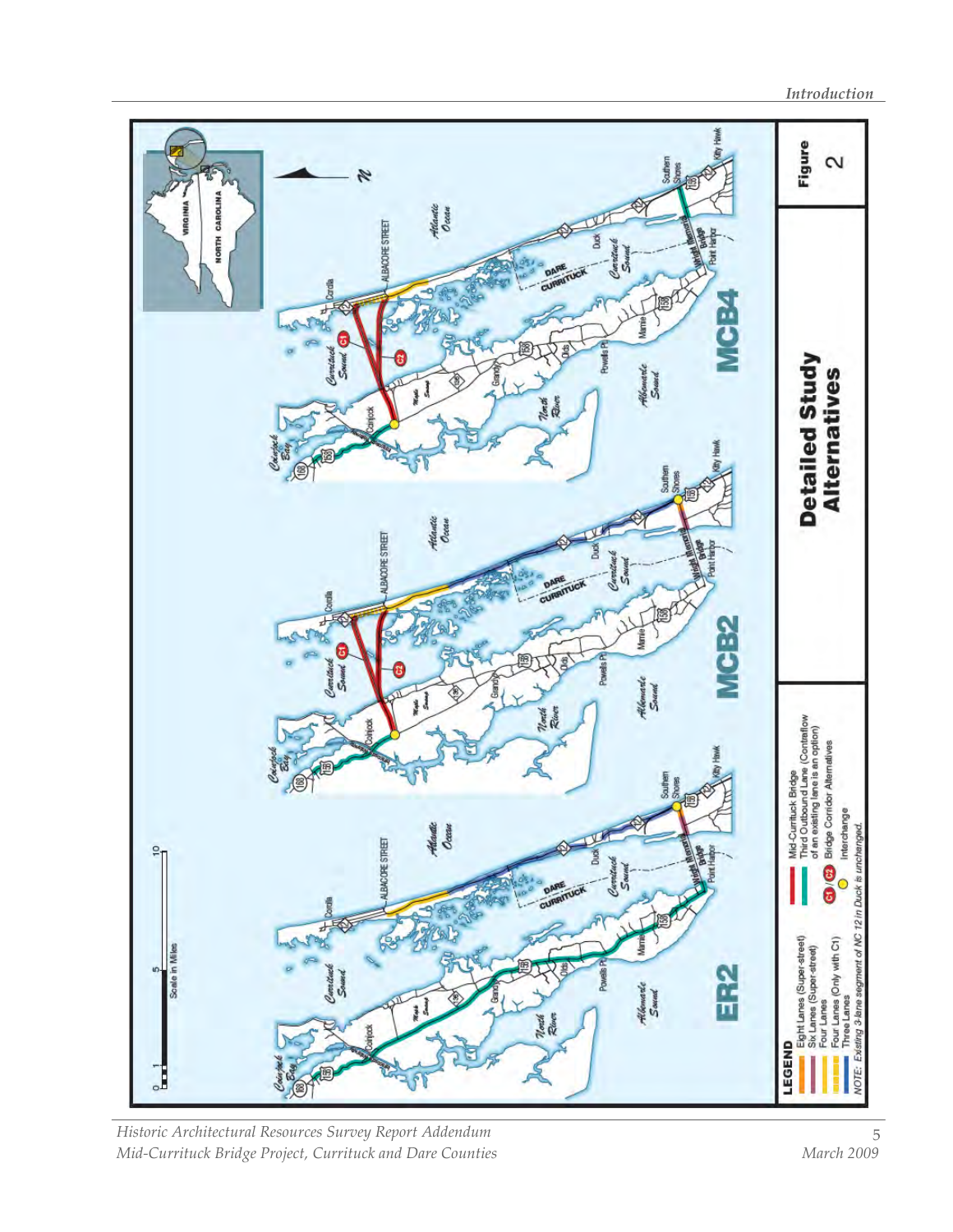

Historic Architectural Resources Survey Report Addendum Mid-Currituck Bridge Project, Currituck and Dare Counties Manch 2009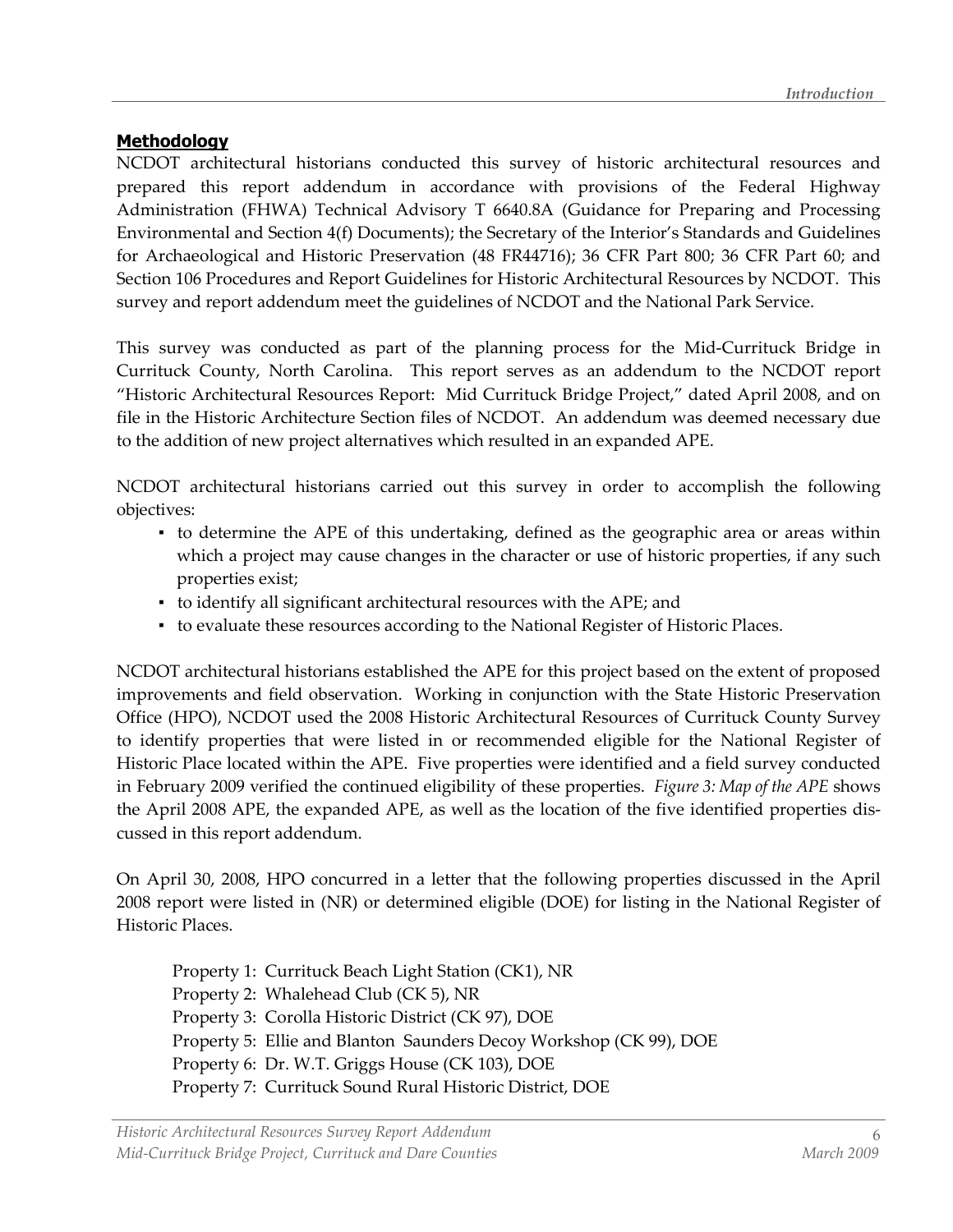#### **Methodology**

NCDOT architectural historians conducted this survey of historic architectural resources and prepared this report addendum in accordance with provisions of the Federal Highway Administration (FHWA) Technical Advisory T 6640.8A (Guidance for Preparing and Processing Environmental and Section 4(f) Documents); the Secretary of the Interior's Standards and Guidelines for Archaeological and Historic Preservation (48 FR44716); 36 CFR Part 800; 36 CFR Part 60; and Section 106 Procedures and Report Guidelines for Historic Architectural Resources by NCDOT. This survey and report addendum meet the guidelines of NCDOT and the National Park Service.

This survey was conducted as part of the planning process for the Mid-Currituck Bridge in Currituck County, North Carolina. This report serves as an addendum to the NCDOT report "Historic Architectural Resources Report: Mid Currituck Bridge Project," dated April 2008, and on file in the Historic Architecture Section files of NCDOT. An addendum was deemed necessary due to the addition of new project alternatives which resulted in an expanded APE.

NCDOT architectural historians carried out this survey in order to accomplish the following objectives:

- to determine the APE of this undertaking, defined as the geographic area or areas within which a project may cause changes in the character or use of historic properties, if any such properties exist;
- to identify all significant architectural resources with the APE; and
- to evaluate these resources according to the National Register of Historic Places.

NCDOT architectural historians established the APE for this project based on the extent of proposed improvements and field observation. Working in conjunction with the State Historic Preservation Office (HPO), NCDOT used the 2008 Historic Architectural Resources of Currituck County Survey to identify properties that were listed in or recommended eligible for the National Register of Historic Place located within the APE. Five properties were identified and a field survey conducted in February 2009 verified the continued eligibility of these properties. Figure 3: Map of the APE shows the April 2008 APE, the expanded APE, as well as the location of the five identified properties discussed in this report addendum.

On April 30, 2008, HPO concurred in a letter that the following properties discussed in the April 2008 report were listed in (NR) or determined eligible (DOE) for listing in the National Register of Historic Places.

 Property 1: Currituck Beach Light Station (CK1), NR Property 2: Whalehead Club (CK 5), NR Property 3: Corolla Historic District (CK 97), DOE Property 5: Ellie and Blanton Saunders Decoy Workshop (CK 99), DOE Property 6: Dr. W.T. Griggs House (CK 103), DOE Property 7: Currituck Sound Rural Historic District, DOE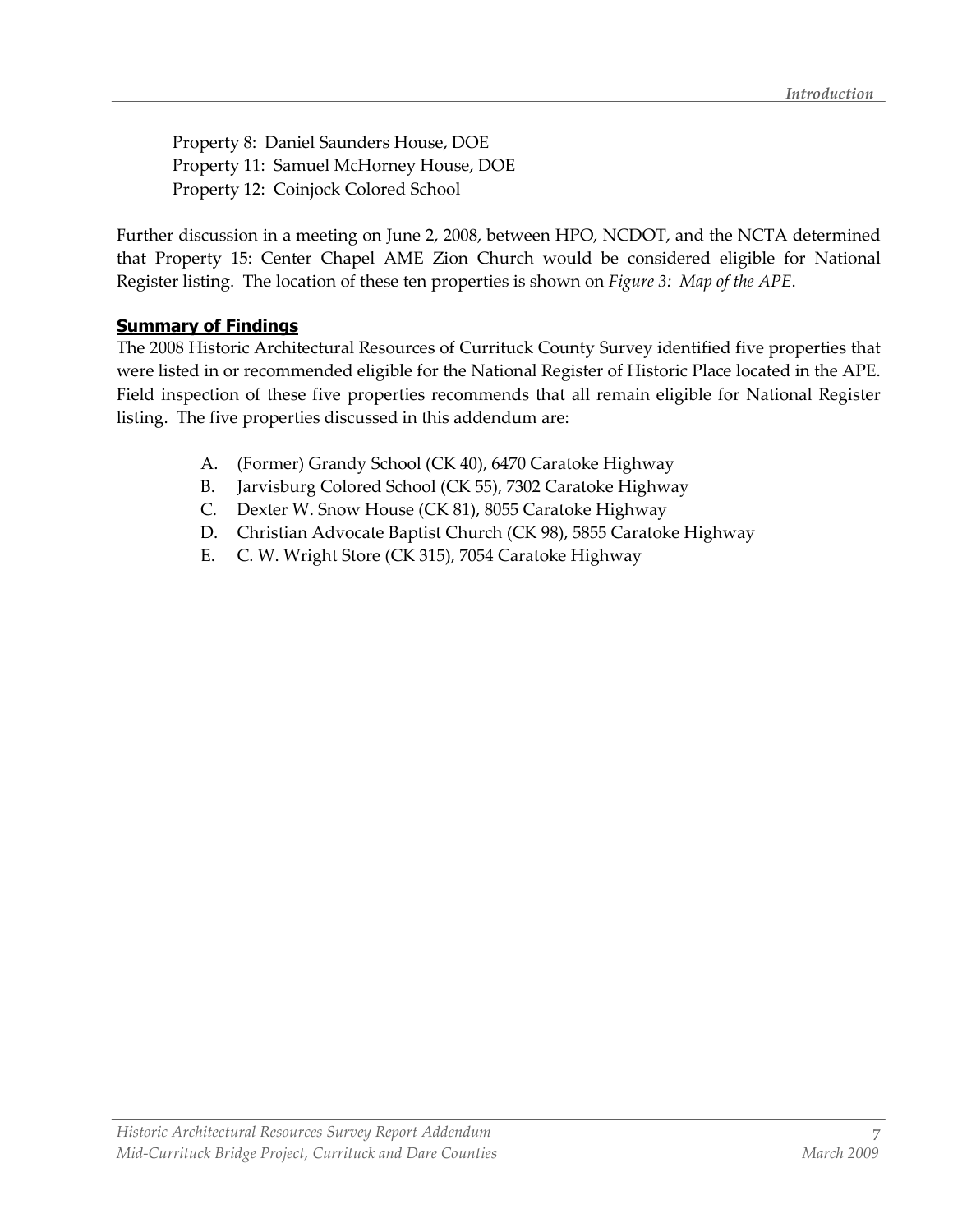Property 8: Daniel Saunders House, DOE Property 11: Samuel McHorney House, DOE Property 12: Coinjock Colored School

Further discussion in a meeting on June 2, 2008, between HPO, NCDOT, and the NCTA determined that Property 15: Center Chapel AME Zion Church would be considered eligible for National Register listing. The location of these ten properties is shown on Figure 3: Map of the APE.

#### Summary of Findings

The 2008 Historic Architectural Resources of Currituck County Survey identified five properties that were listed in or recommended eligible for the National Register of Historic Place located in the APE. Field inspection of these five properties recommends that all remain eligible for National Register listing. The five properties discussed in this addendum are:

- A. (Former) Grandy School (CK 40), 6470 Caratoke Highway
- B. Jarvisburg Colored School (CK 55), 7302 Caratoke Highway
- C. Dexter W. Snow House (CK 81), 8055 Caratoke Highway
- D. Christian Advocate Baptist Church (CK 98), 5855 Caratoke Highway
- E. C. W. Wright Store (CK 315), 7054 Caratoke Highway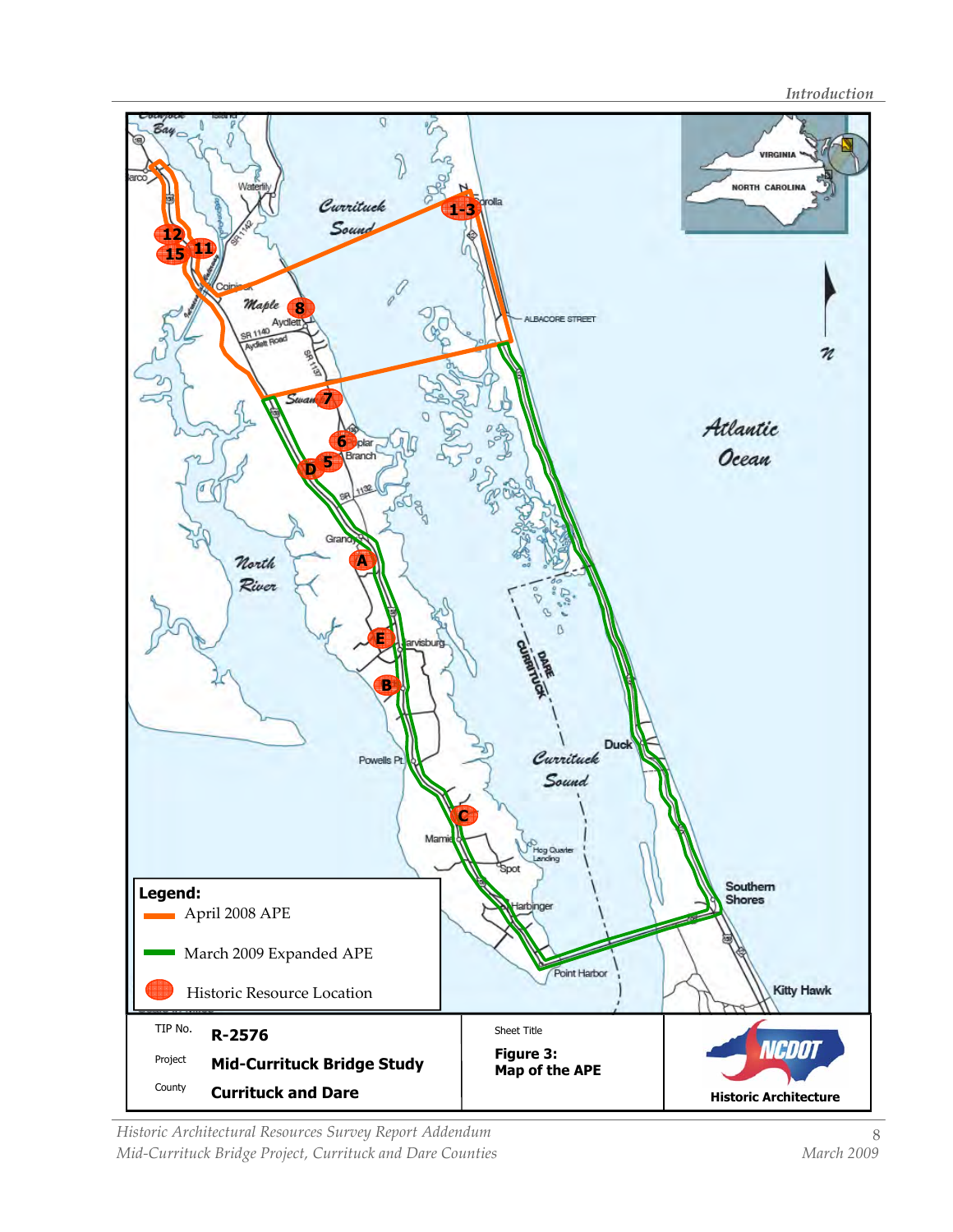**Introduction** 



Historic Architectural Resources Survey Report Addendum Mid-Currituck Bridge Project, Currituck and Dare Counties Manch 2009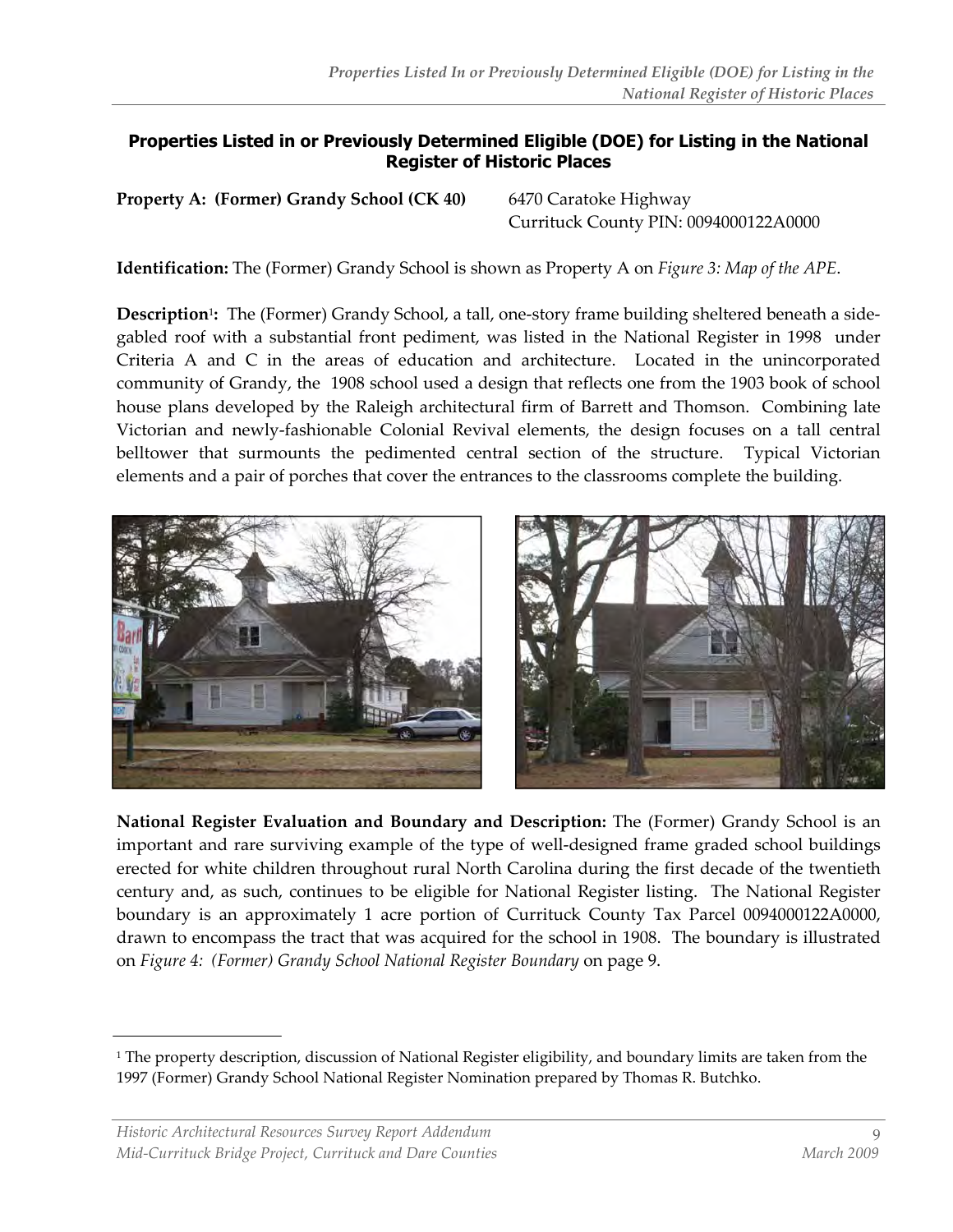#### Properties Listed in or Previously Determined Eligible (DOE) for Listing in the National Register of Historic Places

Property A: (Former) Grandy School (CK 40) 6470 Caratoke Highway

Currituck County PIN: 0094000122A0000

**Identification:** The (Former) Grandy School is shown as Property A on *Figure 3: Map of the APE*.

**Description**<sup>1</sup>: The (Former) Grandy School, a tall, one-story frame building sheltered beneath a sidegabled roof with a substantial front pediment, was listed in the National Register in 1998 under Criteria A and C in the areas of education and architecture. Located in the unincorporated community of Grandy, the 1908 school used a design that reflects one from the 1903 book of school house plans developed by the Raleigh architectural firm of Barrett and Thomson. Combining late Victorian and newly-fashionable Colonial Revival elements, the design focuses on a tall central belltower that surmounts the pedimented central section of the structure. Typical Victorian elements and a pair of porches that cover the entrances to the classrooms complete the building.



National Register Evaluation and Boundary and Description: The (Former) Grandy School is an important and rare surviving example of the type of well-designed frame graded school buildings erected for white children throughout rural North Carolina during the first decade of the twentieth century and, as such, continues to be eligible for National Register listing. The National Register boundary is an approximately 1 acre portion of Currituck County Tax Parcel 0094000122A0000, drawn to encompass the tract that was acquired for the school in 1908. The boundary is illustrated on Figure 4: (Former) Grandy School National Register Boundary on page 9.

<sup>1</sup> The property description, discussion of National Register eligibility, and boundary limits are taken from the 1997 (Former) Grandy School National Register Nomination prepared by Thomas R. Butchko.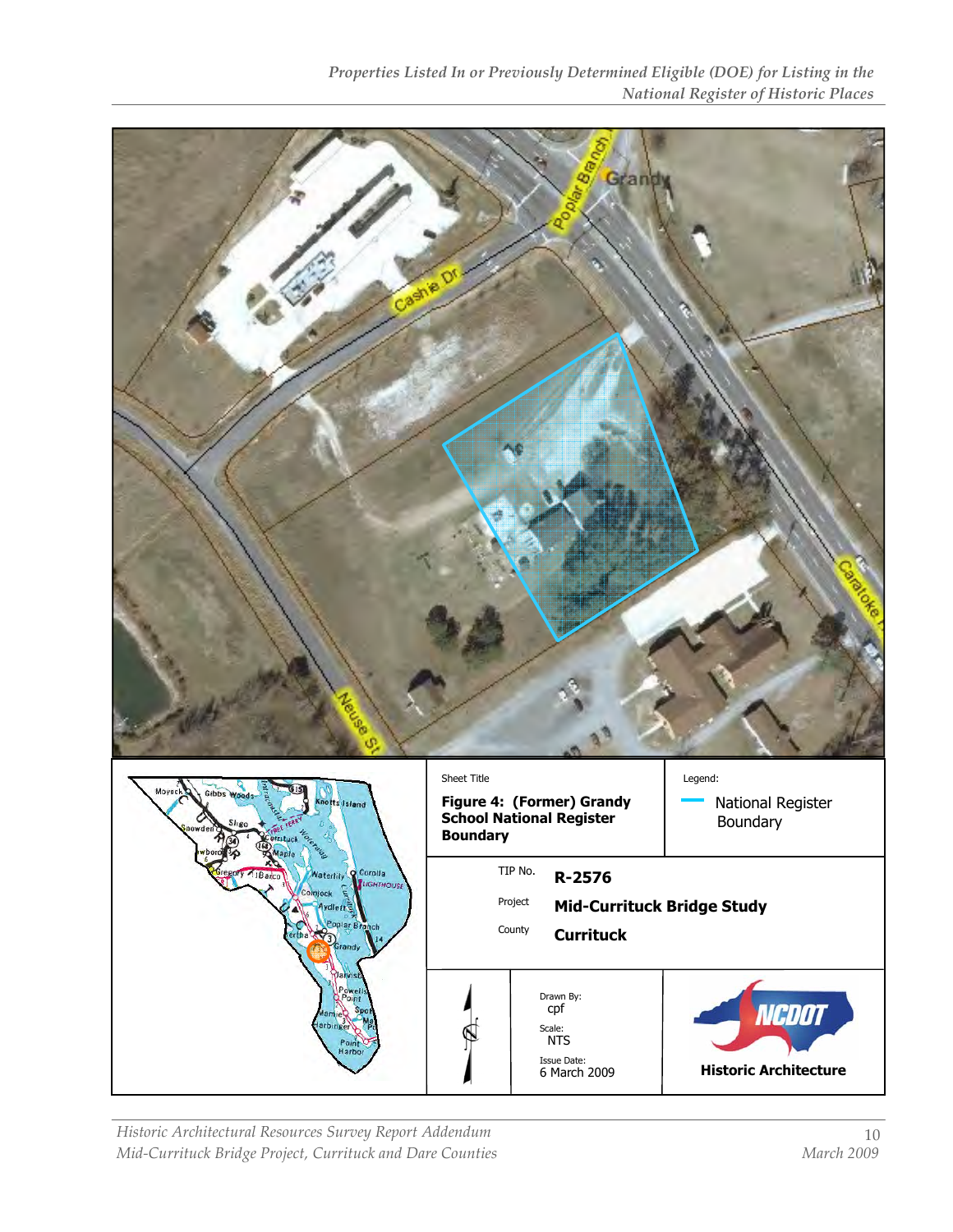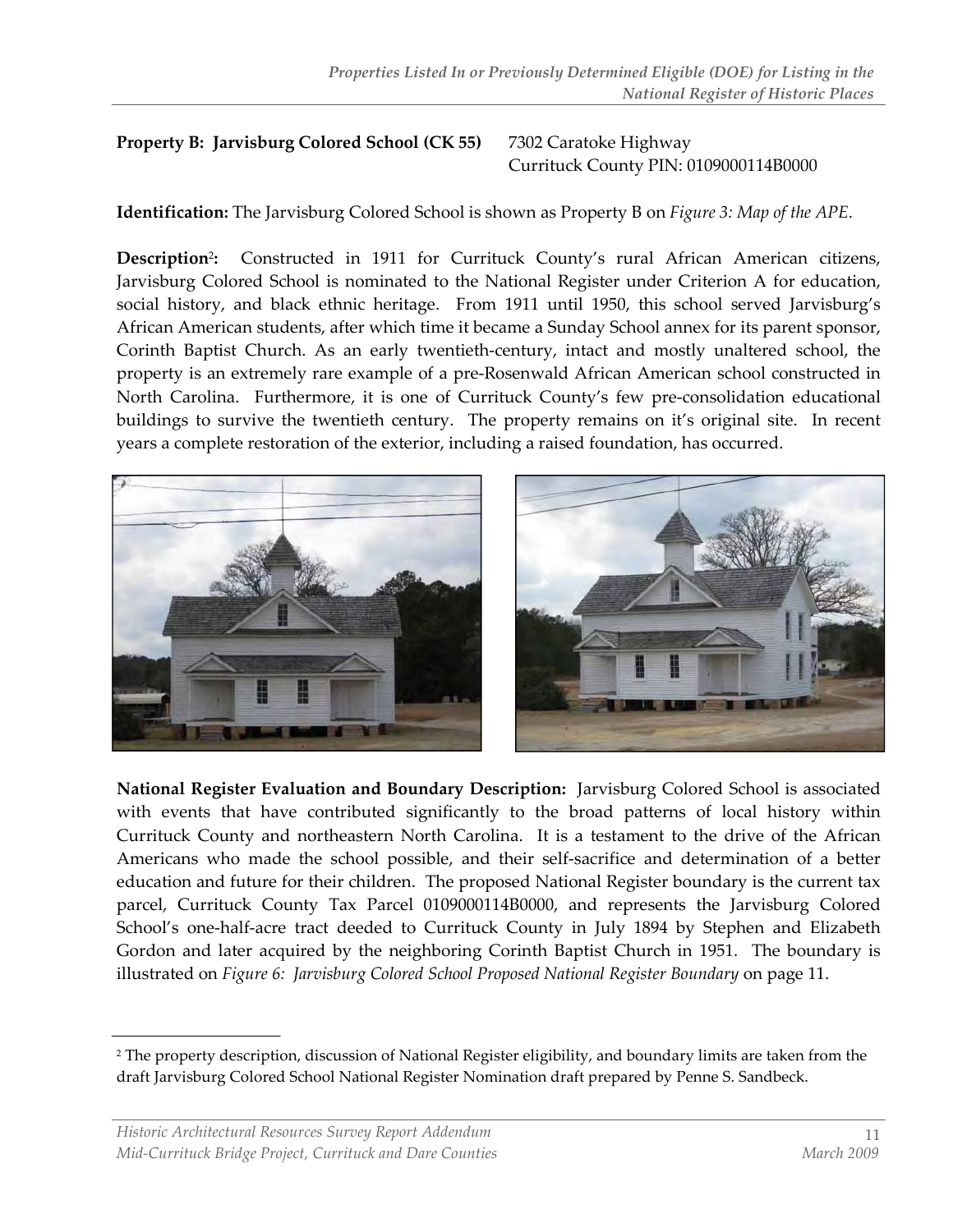## Property B: Jarvisburg Colored School (CK 55) 7302 Caratoke Highway

Currituck County PIN: 0109000114B0000

Identification: The Jarvisburg Colored School is shown as Property B on Figure 3: Map of the APE.

Description<sup>2</sup>: Constructed in 1911 for Currituck County's rural African American citizens, Jarvisburg Colored School is nominated to the National Register under Criterion A for education, social history, and black ethnic heritage. From 1911 until 1950, this school served Jarvisburg's African American students, after which time it became a Sunday School annex for its parent sponsor, Corinth Baptist Church. As an early twentieth-century, intact and mostly unaltered school, the property is an extremely rare example of a pre-Rosenwald African American school constructed in North Carolina. Furthermore, it is one of Currituck County's few pre-consolidation educational buildings to survive the twentieth century. The property remains on it's original site. In recent years a complete restoration of the exterior, including a raised foundation, has occurred.



National Register Evaluation and Boundary Description: Jarvisburg Colored School is associated with events that have contributed significantly to the broad patterns of local history within Currituck County and northeastern North Carolina. It is a testament to the drive of the African Americans who made the school possible, and their self-sacrifice and determination of a better education and future for their children. The proposed National Register boundary is the current tax parcel, Currituck County Tax Parcel 0109000114B0000, and represents the Jarvisburg Colored School's one-half-acre tract deeded to Currituck County in July 1894 by Stephen and Elizabeth Gordon and later acquired by the neighboring Corinth Baptist Church in 1951. The boundary is illustrated on Figure 6: Jarvisburg Colored School Proposed National Register Boundary on page 11.

<sup>2</sup> The property description, discussion of National Register eligibility, and boundary limits are taken from the draft Jarvisburg Colored School National Register Nomination draft prepared by Penne S. Sandbeck.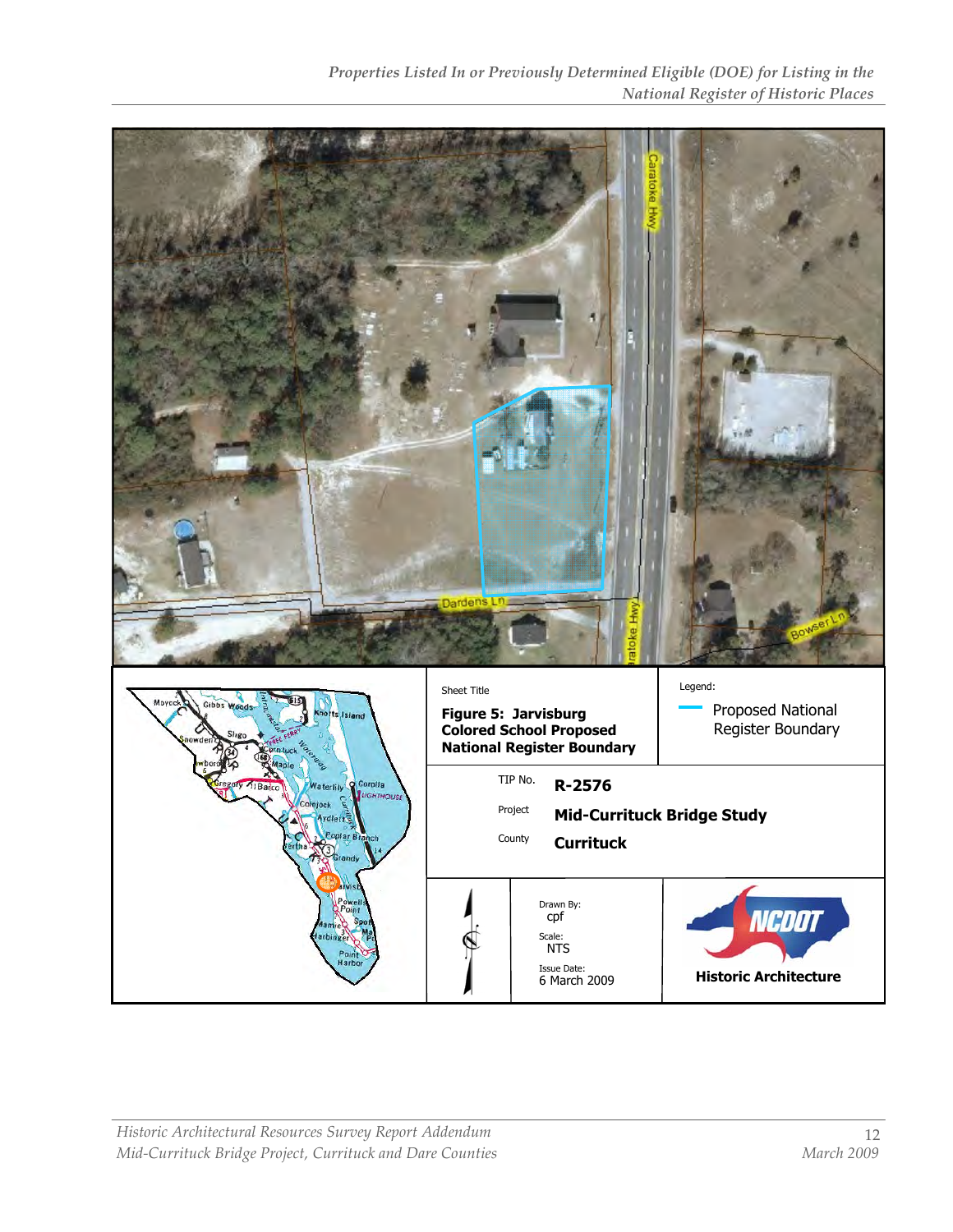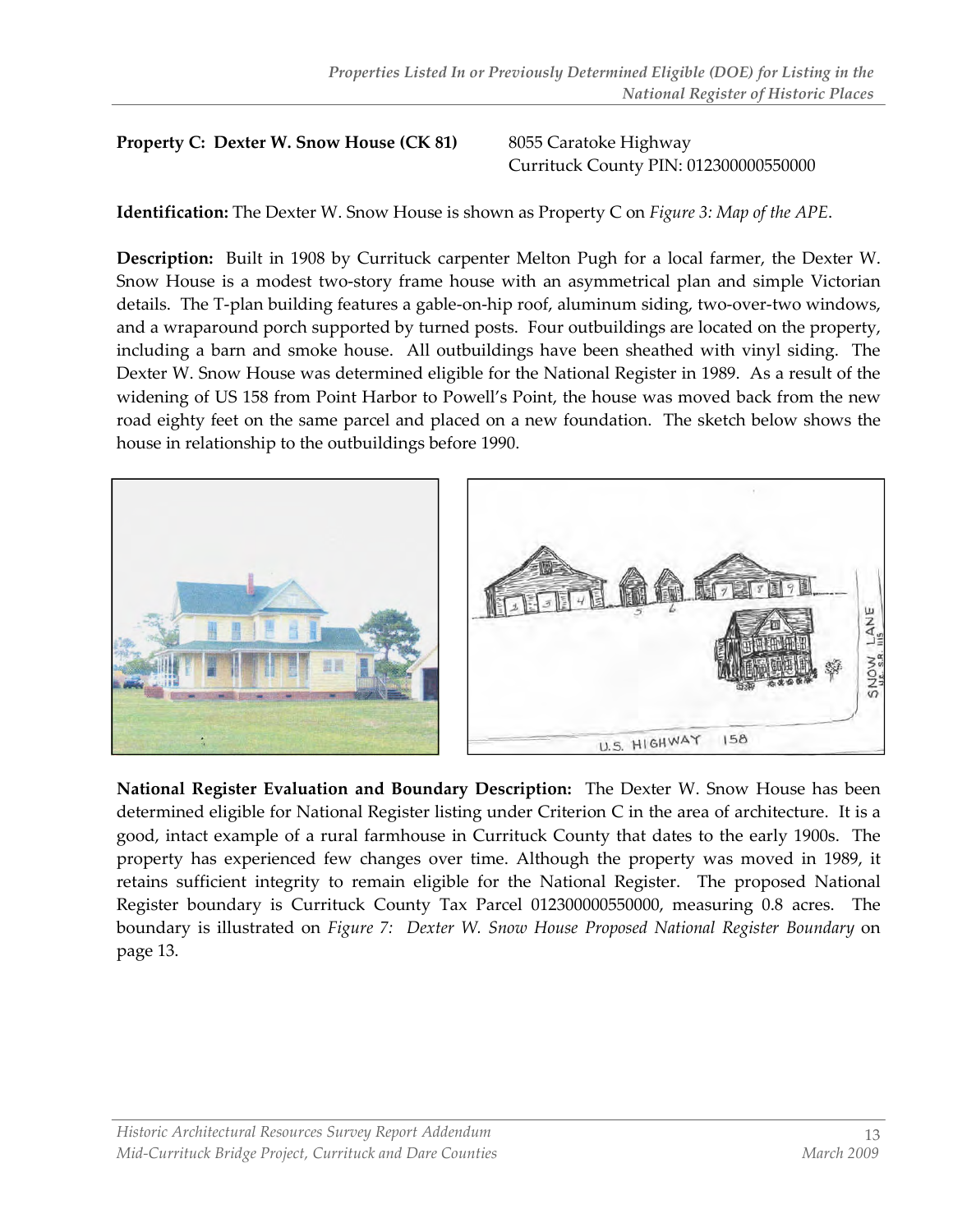#### **Property C: Dexter W. Snow House (CK 81)** 8055 Caratoke Highway

Currituck County PIN: 012300000550000

**Identification:** The Dexter W. Snow House is shown as Property C on *Figure 3: Map of the APE*.

Description: Built in 1908 by Currituck carpenter Melton Pugh for a local farmer, the Dexter W. Snow House is a modest two-story frame house with an asymmetrical plan and simple Victorian details. The T-plan building features a gable-on-hip roof, aluminum siding, two-over-two windows, and a wraparound porch supported by turned posts. Four outbuildings are located on the property, including a barn and smoke house. All outbuildings have been sheathed with vinyl siding. The Dexter W. Snow House was determined eligible for the National Register in 1989. As a result of the widening of US 158 from Point Harbor to Powell's Point, the house was moved back from the new road eighty feet on the same parcel and placed on a new foundation. The sketch below shows the house in relationship to the outbuildings before 1990.



National Register Evaluation and Boundary Description: The Dexter W. Snow House has been determined eligible for National Register listing under Criterion C in the area of architecture. It is a good, intact example of a rural farmhouse in Currituck County that dates to the early 1900s. The property has experienced few changes over time. Although the property was moved in 1989, it retains sufficient integrity to remain eligible for the National Register. The proposed National Register boundary is Currituck County Tax Parcel 012300000550000, measuring 0.8 acres. The boundary is illustrated on Figure 7: Dexter W. Snow House Proposed National Register Boundary on page 13.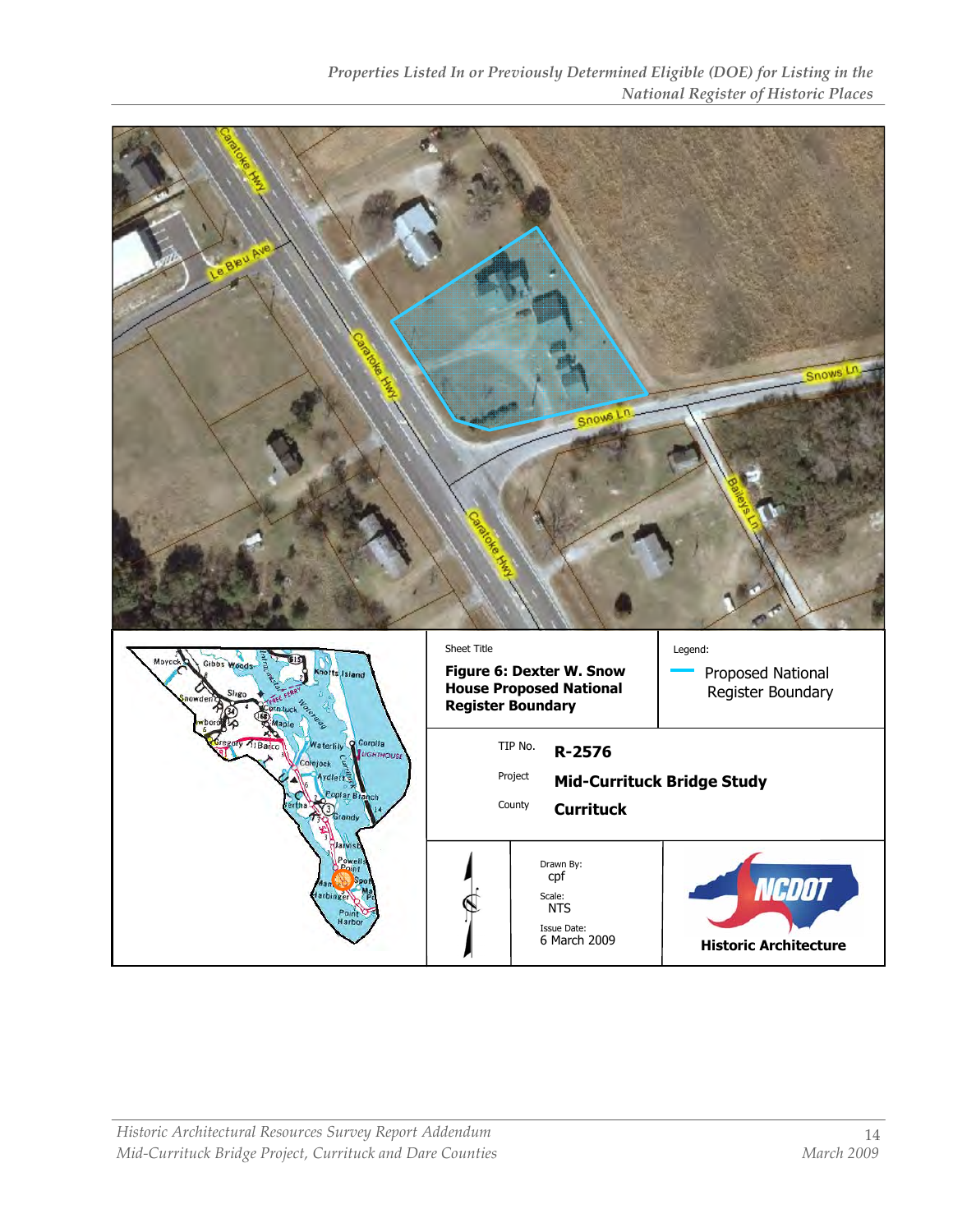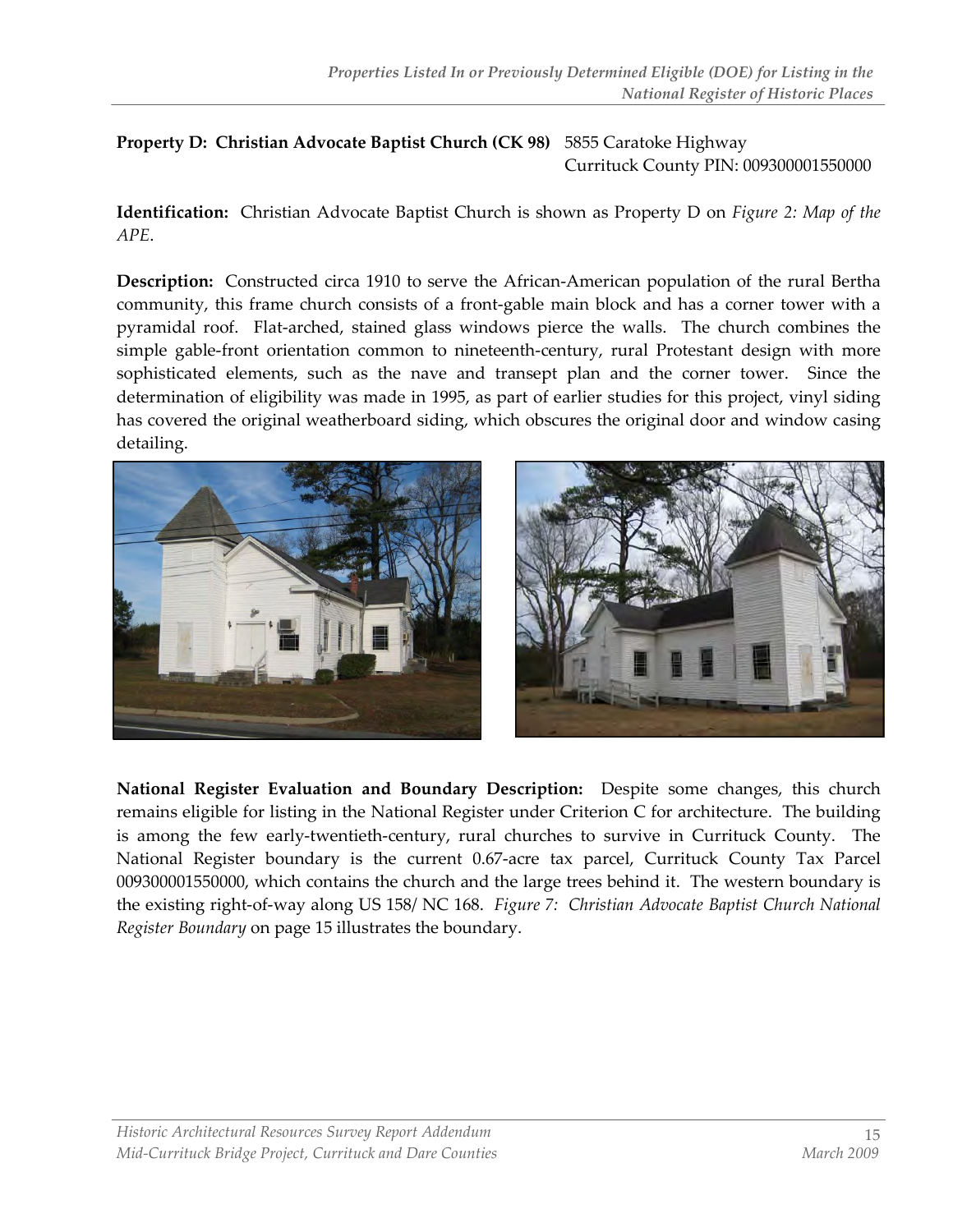#### Property D: Christian Advocate Baptist Church (CK 98) 5855 Caratoke Highway Currituck County PIN: 009300001550000

Identification: Christian Advocate Baptist Church is shown as Property D on Figure 2: Map of the APE.

Description: Constructed circa 1910 to serve the African-American population of the rural Bertha community, this frame church consists of a front-gable main block and has a corner tower with a pyramidal roof. Flat-arched, stained glass windows pierce the walls. The church combines the simple gable-front orientation common to nineteenth-century, rural Protestant design with more sophisticated elements, such as the nave and transept plan and the corner tower. Since the determination of eligibility was made in 1995, as part of earlier studies for this project, vinyl siding has covered the original weatherboard siding, which obscures the original door and window casing detailing.



National Register Evaluation and Boundary Description: Despite some changes, this church remains eligible for listing in the National Register under Criterion C for architecture. The building is among the few early-twentieth-century, rural churches to survive in Currituck County. The National Register boundary is the current 0.67-acre tax parcel, Currituck County Tax Parcel 009300001550000, which contains the church and the large trees behind it. The western boundary is the existing right-of-way along US 158/ NC 168. Figure 7: Christian Advocate Baptist Church National Register Boundary on page 15 illustrates the boundary.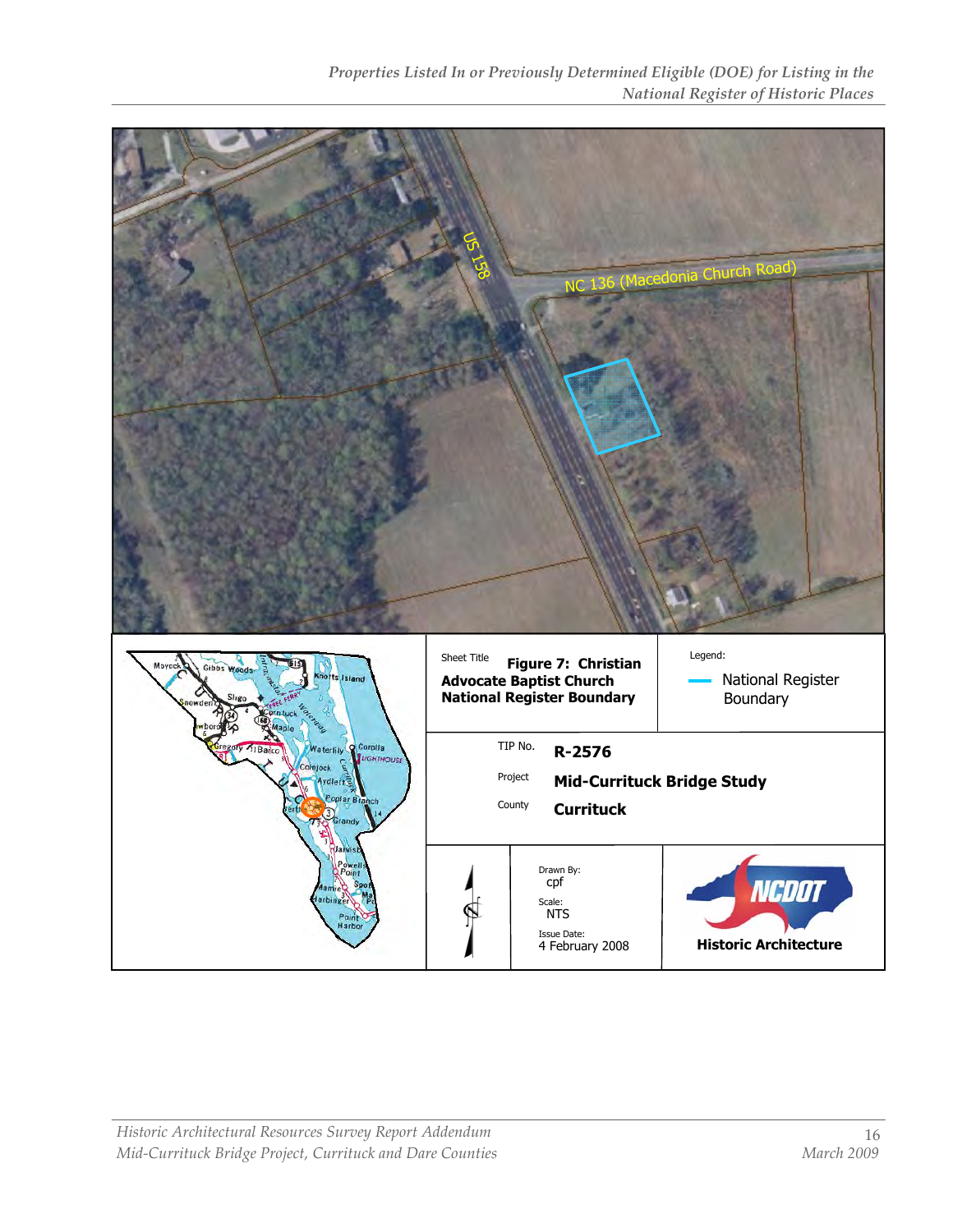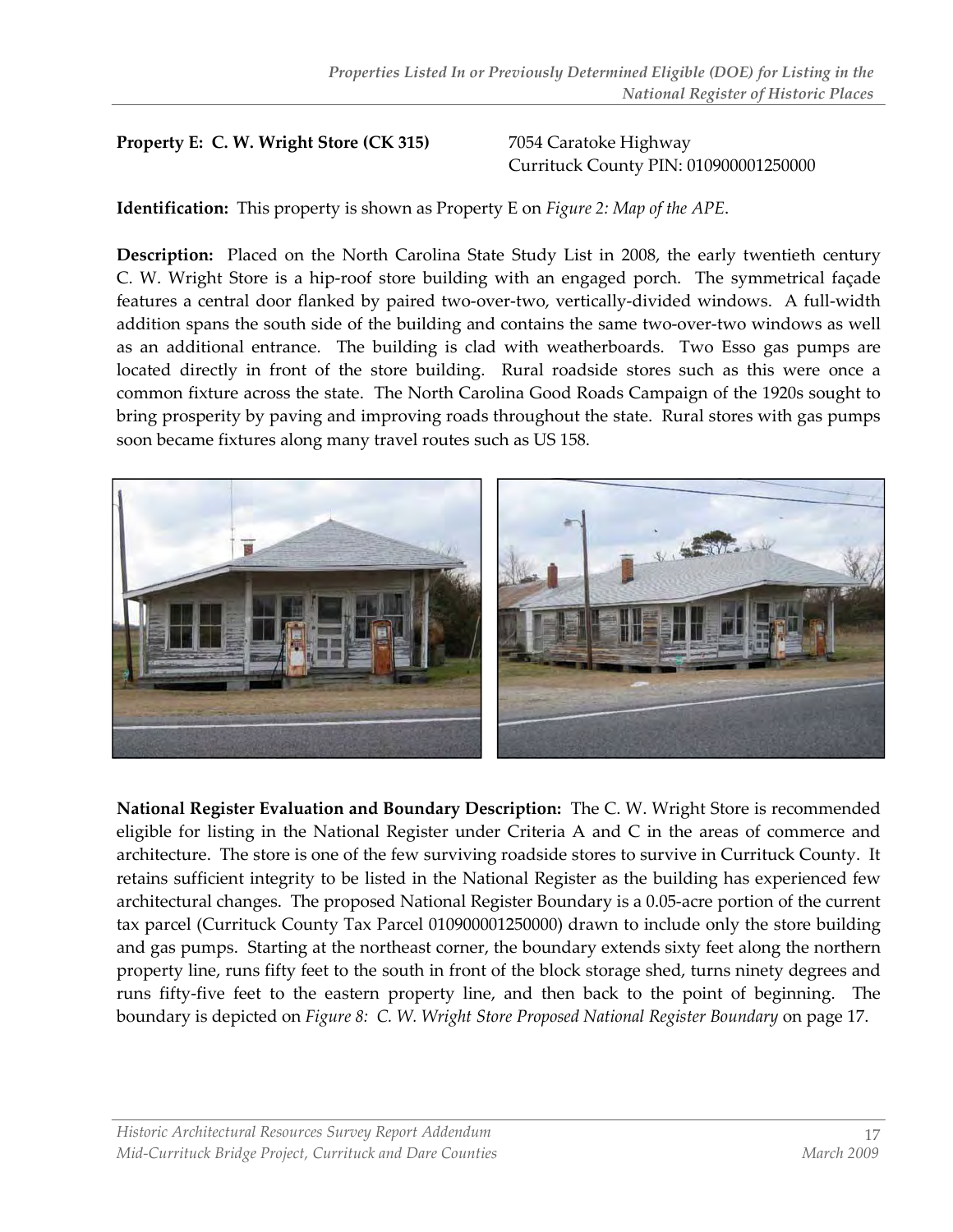#### Property E: C. W. Wright Store (CK 315) 7054 Caratoke Highway

# Currituck County PIN: 010900001250000

Identification: This property is shown as Property E on Figure 2: Map of the APE.

Description: Placed on the North Carolina State Study List in 2008, the early twentieth century C. W. Wright Store is a hip-roof store building with an engaged porch. The symmetrical façade features a central door flanked by paired two-over-two, vertically-divided windows. A full-width addition spans the south side of the building and contains the same two-over-two windows as well as an additional entrance. The building is clad with weatherboards. Two Esso gas pumps are located directly in front of the store building. Rural roadside stores such as this were once a common fixture across the state. The North Carolina Good Roads Campaign of the 1920s sought to bring prosperity by paving and improving roads throughout the state. Rural stores with gas pumps soon became fixtures along many travel routes such as US 158.



National Register Evaluation and Boundary Description: The C. W. Wright Store is recommended eligible for listing in the National Register under Criteria A and C in the areas of commerce and architecture. The store is one of the few surviving roadside stores to survive in Currituck County. It retains sufficient integrity to be listed in the National Register as the building has experienced few architectural changes. The proposed National Register Boundary is a 0.05-acre portion of the current tax parcel (Currituck County Tax Parcel 010900001250000) drawn to include only the store building and gas pumps. Starting at the northeast corner, the boundary extends sixty feet along the northern property line, runs fifty feet to the south in front of the block storage shed, turns ninety degrees and runs fifty-five feet to the eastern property line, and then back to the point of beginning. The boundary is depicted on Figure 8: C. W. Wright Store Proposed National Register Boundary on page 17.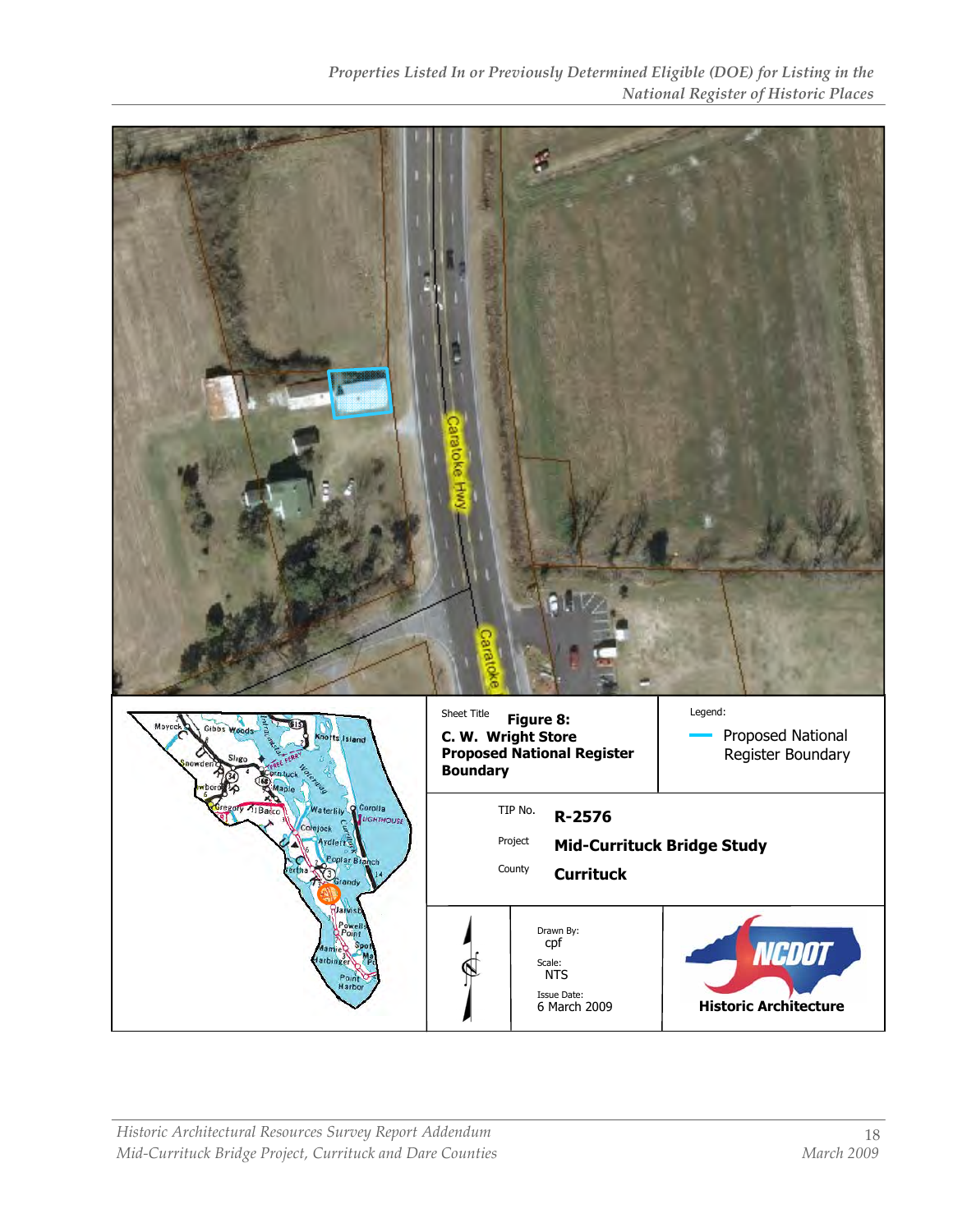